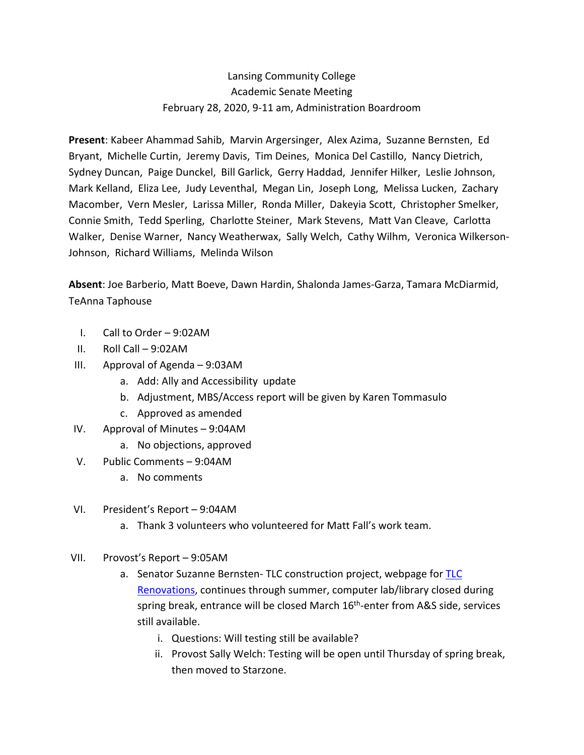## Lansing Community College Academic Senate Meeting February 28, 2020, 9-11 am, Administration Boardroom

 **Present**: Kabeer Ahammad Sahib, Marvin Argersinger, Alex Azima, Suzanne Bernsten, Ed Bryant, Michelle Curtin, Jeremy Davis, Tim Deines, Monica Del Castillo, Nancy Dietrich, Sydney Duncan, Paige Dunckel, Bill Garlick, Gerry Haddad, Jennifer Hilker, Leslie Johnson, Mark Kelland, Eliza Lee, Judy Leventhal, Megan Lin, Joseph Long, Melissa Lucken, Zachary Macomber, Vern Mesler, Larissa Miller, Ronda Miller, Dakeyia Scott, Christopher Smelker, Connie Smith, Tedd Sperling, Charlotte Steiner, Mark Stevens, Matt Van Cleave, Carlotta Walker, Denise Warner, Nancy Weatherwax, Sally Welch, Cathy Wilhm, Veronica Wilkerson-Johnson, Richard Williams, Melinda Wilson

**Absent**: Joe Barberio, Matt Boeve, Dawn Hardin, Shalonda James-Garza, Tamara McDiarmid, TeAnna Taphouse

- I. Call to Order 9:02AM
- II. Roll Call 9:02AM
- III. Approval of Agenda 9:03AM
	- a. Add: Ally and Accessibility update
	- b. Adjustment, MBS/Access report will be given by Karen Tommasulo
	- c. Approved as amended
- IV. Approval of Minutes 9:04AM
	- a. No objections, approved
- V. Public Comments 9:04AM
	- a. No comments
- VI. President's Report 9:04AM
	- a. Thank 3 volunteers who volunteered for Matt Fall's work team.
- VII. Provost's Report 9:05AM
	- a. Senator Suzanne Bernsten- TLC construction project, webpage for TLC [Renovations, continues through summer, computer lab/library closed](https://www.lcc.edu/library/about/renovation-1.html) during spring break, entrance will be closed March 16<sup>th</sup>-enter from A&S side, services still available.
		- i. Questions: Will testing still be available?
		- ii. Provost Sally Welch: Testing will be open until Thursday of spring break, then moved to Starzone.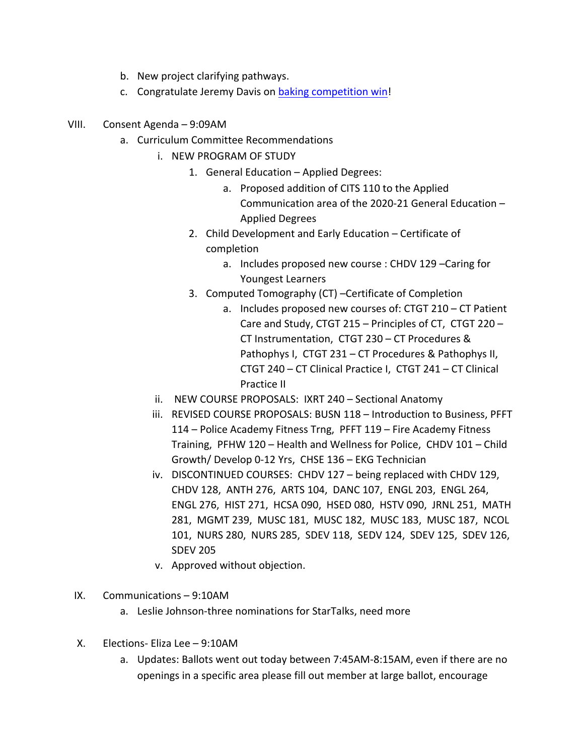- b. New project clarifying pathways.
- c. Congratulate Jeremy Davis on [baking competition win!](https://www.lansingstatejournal.com/story/news/local/2020/01/16/charlotte-baker-compete-food-network-cookie-show/4489561002/)
- VIII. Consent Agenda 9:09AM
	- a. Curriculum Committee Recommendations
		- i. NEW PROGRAM OF STUDY
			- 1. General Education Applied Degrees:
				- a. Proposed addition of CITS 110 to the Applied Communication area of the 2020-21 General Education – Applied Degrees
			- 2. Child Development and Early Education Certificate of completion
				- a. Includes proposed new course : CHDV 129 –Caring for Youngest Learners
			- 3. Computed Tomography (CT) –Certificate of Completion
				- a. Includes proposed new courses of: CTGT 210 CT Patient Care and Study, CTGT 215 – Principles of CT, CTGT 220 – Pathophys I, CTGT 231 – CT Procedures & Pathophys II, CTGT 240 – CT Clinical Practice I, CTGT 241 – CT Clinical Practice II CT Instrumentation, CTGT 230 – CT Procedures &
		- ii. NEW COURSE PROPOSALS: IXRT 240 Sectional Anatomy
		- iii. REVISED COURSE PROPOSALS: BUSN 118 Introduction to Business, PFFT 114 – Police Academy Fitness Trng, PFFT 119 – Fire Academy Fitness Training, PFHW 120 – Health and Wellness for Police, CHDV 101 – Child Growth/ Develop 0-12 Yrs, CHSE 136 – EKG Technician
		- iv. DISCONTINUED COURSES: CHDV 127 being replaced with CHDV 129, CHDV 128, ANTH 276, ARTS 104, DANC 107, ENGL 203, ENGL 264, 281, MGMT 239, MUSC 181, MUSC 182, MUSC 183, MUSC 187, NCOL 101, NURS 280, NURS 285, SDEV 118, SEDV 124, SDEV 125, SDEV 126, ENGL 276, HIST 271, HCSA 090, HSED 080, HSTV 090, JRNL 251, MATH SDEV 205
		- v. Approved without objection.
	- IX. Communications 9:10AM
		- a. Leslie Johnson-three nominations for StarTalks, need more
	- X. Elections- Eliza Lee 9:10AM
		- a. Updates: Ballots went out today between 7:45AM-8:15AM, even if there are no openings in a specific area please fill out member at large ballot, encourage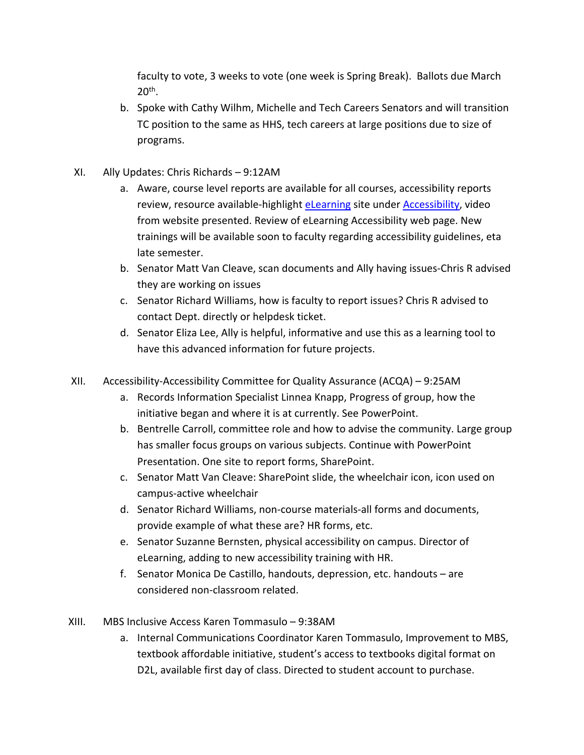faculty to vote, 3 weeks to vote (one week is Spring Break). Ballots due March  $20<sup>th</sup>$ .

- b. Spoke with Cathy Wilhm, Michelle and Tech Careers Senators and will transition TC position to the same as HHS, tech careers at large positions due to size of programs.
- XI. Ally Updates: Chris Richards 9:12AM
	- a. Aware, course level reports are available for all courses, accessibility reports review, resource available-highlight **eLearning** site under **Accessibility**, video from website presented. Review of eLearning Accessibility web page. New trainings will be available soon to faculty regarding accessibility guidelines, eta late semester.
	- b. Senator Matt Van Cleave, scan documents and Ally having issues-Chris R advised they are working on issues
	- c. Senator Richard Williams, how is faculty to report issues? Chris R advised to contact Dept. directly or helpdesk ticket.
	- d. Senator Eliza Lee, Ally is helpful, informative and use this as a learning tool to have this advanced information for future projects.
- XII. Accessibility-Accessibility Committee for Quality Assurance (ACQA) 9:25AM
	- a. Records Information Specialist Linnea Knapp, Progress of group, how the initiative began and where it is at currently. See PowerPoint.
	- b. Bentrelle Carroll, committee role and how to advise the community. Large group has smaller focus groups on various subjects. Continue with PowerPoint Presentation. One site to report forms, SharePoint.
	- c. Senator Matt Van Cleave: SharePoint slide, the wheelchair icon, icon used on campus-active wheelchair
	- d. Senator Richard Williams, non-course materials-all forms and documents, provide example of what these are? HR forms, etc.
	- e. Senator Suzanne Bernsten, physical accessibility on campus. Director of eLearning, adding to new accessibility training with HR.
	- considered non-classroom related. f. Senator Monica De Castillo, handouts, depression, etc. handouts – are
- XIII. MBS Inclusive Access Karen Tommasulo 9:38AM
	- a. Internal Communications Coordinator Karen Tommasulo, Improvement to MBS, textbook affordable initiative, student's access to textbooks digital format on D2L, available first day of class. Directed to student account to purchase.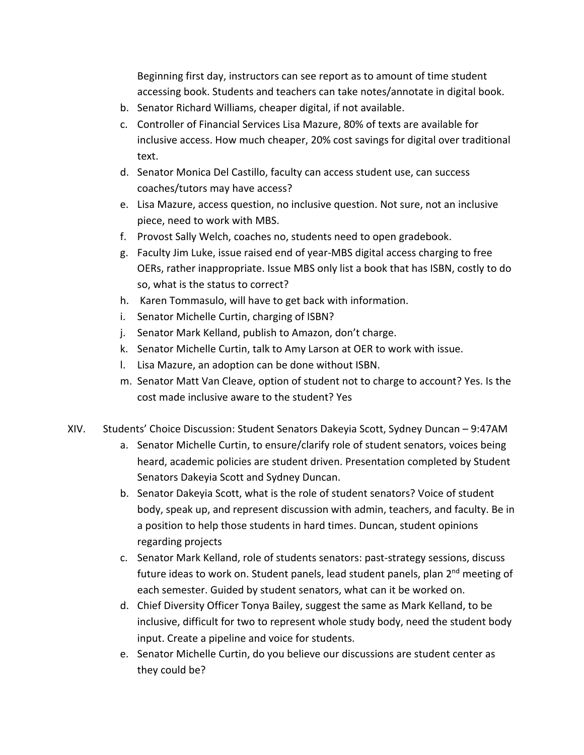Beginning first day, instructors can see report as to amount of time student accessing book. Students and teachers can take notes/annotate in digital book.

- b. Senator Richard Williams, cheaper digital, if not available.
- c. Controller of Financial Services Lisa Mazure, 80% of texts are available for inclusive access. How much cheaper, 20% cost savings for digital over traditional text.
- d. Senator Monica Del Castillo, faculty can access student use, can success coaches/tutors may have access?
- e. Lisa Mazure, access question, no inclusive question. Not sure, not an inclusive piece, need to work with MBS.
- f. Provost Sally Welch, coaches no, students need to open gradebook.
- g. Faculty Jim Luke, issue raised end of year-MBS digital access charging to free OERs, rather inappropriate. Issue MBS only list a book that has ISBN, costly to do so, what is the status to correct?
- h. Karen Tommasulo, will have to get back with information.
- i. Senator Michelle Curtin, charging of ISBN?
- j. Senator Mark Kelland, publish to Amazon, don't charge.
- k. Senator Michelle Curtin, talk to Amy Larson at OER to work with issue.
- l. Lisa Mazure, an adoption can be done without ISBN.
- m. Senator Matt Van Cleave, option of student not to charge to account? Yes. Is the cost made inclusive aware to the student? Yes
- XIV. Students' Choice Discussion: Student Senators Dakeyia Scott, Sydney Duncan 9:47AM
	- a. Senator Michelle Curtin, to ensure/clarify role of student senators, voices being heard, academic policies are student driven. Presentation completed by Student Senators Dakeyia Scott and Sydney Duncan.
	- Senators Dakeyia Scott and Sydney Duncan. b. Senator Dakeyia Scott, what is the role of student senators? Voice of student body, speak up, and represent discussion with admin, teachers, and faculty. Be in a position to help those students in hard times. Duncan, student opinions regarding projects
	- c. Senator Mark Kelland, role of students senators: past-strategy sessions, discuss future ideas to work on. Student panels, lead student panels, plan 2<sup>nd</sup> meeting of each semester. Guided by student senators, what can it be worked on.
	- d. Chief Diversity Officer Tonya Bailey, suggest the same as Mark Kelland, to be inclusive, difficult for two to represent whole study body, need the student body input. Create a pipeline and voice for students.
	- e. Senator Michelle Curtin, do you believe our discussions are student center as they could be?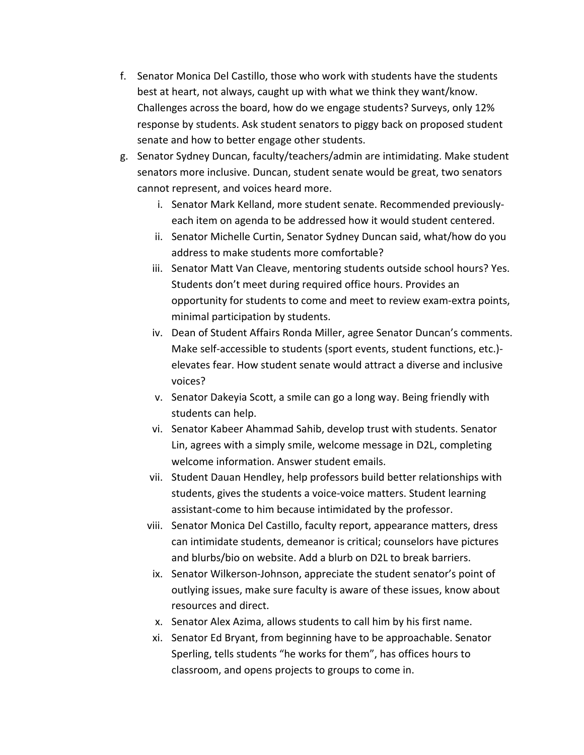- f. Senator Monica Del Castillo, those who work with students have the students best at heart, not always, caught up with what we think they want/know. Challenges across the board, how do we engage students? Surveys, only 12% response by students. Ask student senators to piggy back on proposed student senate and how to better engage other students.
- g. Senator Sydney Duncan, faculty/teachers/admin are intimidating. Make student senators more inclusive. Duncan, student senate would be great, two senators cannot represent, and voices heard more.
	- i. Senator Mark Kelland, more student senate. Recommended previously-each item on agenda to be addressed how it would student centered.
	- ii. Senator Michelle Curtin, Senator Sydney Duncan said, what/how do you address to make students more comfortable?
	- iii. Senator Matt Van Cleave, mentoring students outside school hours? Yes. Students don't meet during required office hours. Provides an opportunity for students to come and meet to review exam-extra points, minimal participation by students.
	- iv. Dean of Student Affairs Ronda Miller, agree Senator Duncan's comments. Make self-accessible to students (sport events, student functions, etc.)- elevates fear. How student senate would attract a diverse and inclusive voices?
	- voices? v. Senator Dakeyia Scott, a smile can go a long way. Being friendly with students can help.
	- vi. Senator Kabeer Ahammad Sahib, develop trust with students. Senator Lin, agrees with a simply smile, welcome message in D2L, completing welcome information. Answer student emails.
	- vii. Student Dauan Hendley, help professors build better relationships with students, gives the students a voice-voice matters. Student learning assistant-come to him because intimidated by the professor.
	- viii. Senator Monica Del Castillo, faculty report, appearance matters, dress can intimidate students, demeanor is critical; counselors have pictures and blurbs/bio on website. Add a blurb on D2L to break barriers.
	- ix. Senator Wilkerson-Johnson, appreciate the student senator's point of outlying issues, make sure faculty is aware of these issues, know about resources and direct.
	- x. Senator Alex Azima, allows students to call him by his first name.
	- xi. Senator Ed Bryant, from beginning have to be approachable. Senator Sperling, tells students "he works for them", has offices hours to classroom, and opens projects to groups to come in.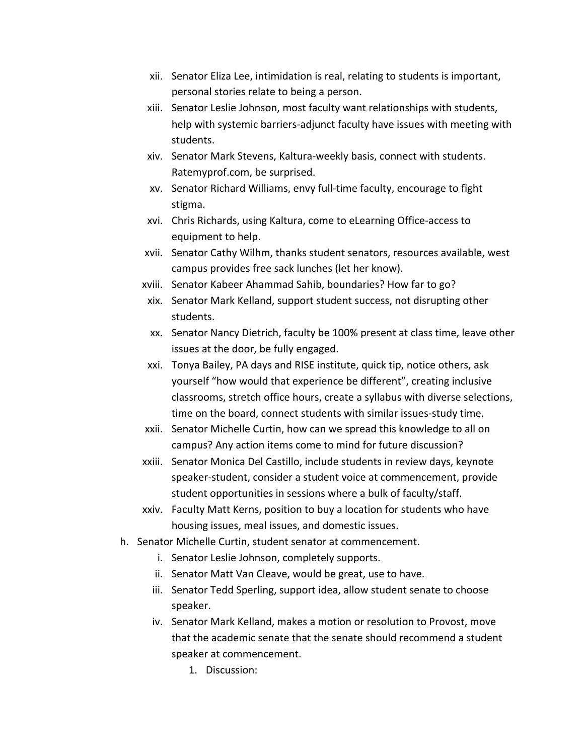- xii. Senator Eliza Lee, intimidation is real, relating to students is important, personal stories relate to being a person.
- xiii. Senator Leslie Johnson, most faculty want relationships with students, help with systemic barriers-adjunct faculty have issues with meeting with students.
- xiv. Senator Mark Stevens, Kaltura-weekly basis, connect with students. Ratemyprof.com, be surprised.
- xv. Senator Richard Williams, envy full-time faculty, encourage to fight stigma.
- stigma. xvi. Chris Richards, using Kaltura, come to eLearning Office-access to equipment to help.
- xvii. Senator Cathy Wilhm, thanks student senators, resources available, west campus provides free sack lunches (let her know).
- xviii. Senator Kabeer Ahammad Sahib, boundaries? How far to go?
- xix. Senator Mark Kelland, support student success, not disrupting other students.
- xx. Senator Nancy Dietrich, faculty be 100% present at class time, leave other issues at the door, be fully engaged.
- xxi. Tonya Bailey, PA days and RISE institute, quick tip, notice others, ask yourself "how would that experience be different", creating inclusive classrooms, stretch office hours, create a syllabus with diverse selections, time on the board, connect students with similar issues-study time.
- xxii. Senator Michelle Curtin, how can we spread this knowledge to all on campus? Any action items come to mind for future discussion?
- xxiii. Senator Monica Del Castillo, include students in review days, keynote speaker-student, consider a student voice at commencement, provide student opportunities in sessions where a bulk of faculty/staff.
- xxiv. Faculty Matt Kerns, position to buy a location for students who have housing issues, meal issues, and domestic issues.
- h. Senator Michelle Curtin, student senator at commencement.
	- i. Senator Leslie Johnson, completely supports.
	- ii. Senator Matt Van Cleave, would be great, use to have.
	- iii. Senator Tedd Sperling, support idea, allow student senate to choose speaker.
	- iv. Senator Mark Kelland, makes a motion or resolution to Provost, move that the academic senate that the senate should recommend a student speaker at commencement.
		- 1. Discussion: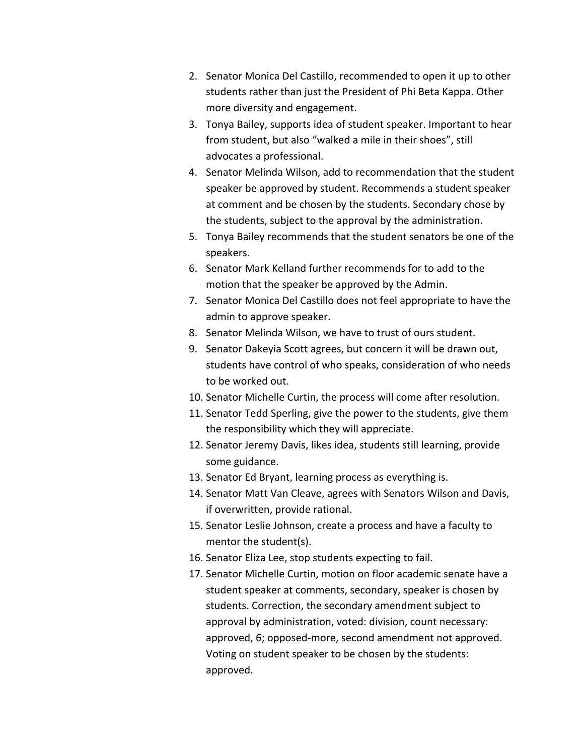- 2. Senator Monica Del Castillo, recommended to open it up to other students rather than just the President of Phi Beta Kappa. Other more diversity and engagement.
- 3. Tonya Bailey, supports idea of student speaker. Important to hear from student, but also "walked a mile in their shoes", still advocates a professional.
- 4. Senator Melinda Wilson, add to recommendation that the student speaker be approved by student. Recommends a student speaker at comment and be chosen by the students. Secondary chose by the students, subject to the approval by the administration.
- 5. Tonya Bailey recommends that the student senators be one of the speakers.
- speakers. 6. Senator Mark Kelland further recommends for to add to the motion that the speaker be approved by the Admin.
- 7. Senator Monica Del Castillo does not feel appropriate to have the admin to approve speaker.
- 8. Senator Melinda Wilson, we have to trust of ours student.
- 9. Senator Dakeyia Scott agrees, but concern it will be drawn out, students have control of who speaks, consideration of who needs to be worked out.
- 10. Senator Michelle Curtin, the process will come after resolution.
- 11. Senator Tedd Sperling, give the power to the students, give them the responsibility which they will appreciate.
- 12. Senator Jeremy Davis, likes idea, students still learning, provide some guidance.
- 13. Senator Ed Bryant, learning process as everything is.
- 14. Senator Matt Van Cleave, agrees with Senators Wilson and Davis, if overwritten, provide rational.
- 15. Senator Leslie Johnson, create a process and have a faculty to mentor the student(s).
- 16. Senator Eliza Lee, stop students expecting to fail.
- 17. Senator Michelle Curtin, motion on floor academic senate have a student speaker at comments, secondary, speaker is chosen by students. Correction, the secondary amendment subject to approval by administration, voted: division, count necessary: approved, 6; opposed-more, second amendment not approved. Voting on student speaker to be chosen by the students: approved.